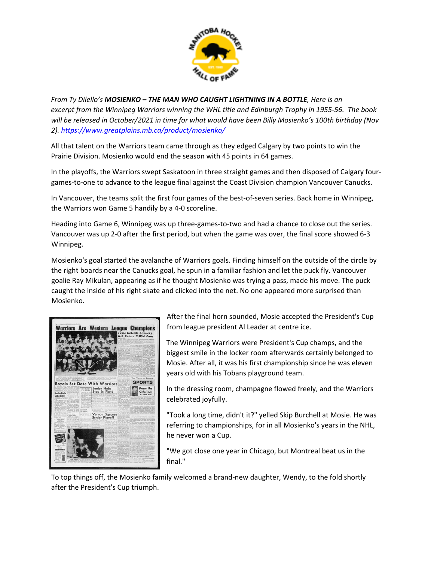

*From Ty Dilello's MOSIENKO – THE MAN WHO CAUGHT LIGHTNING IN A BOTTLE, Here is an* excerpt from the Winnipeq Warriors winning the WHL title and Edinburgh Trophy in 1955-56. The book *will be released in October/2021 in time for what would have been Billy Mosienko's 100th birthday (Nov 2). <https://www.greatplains.mb.ca/product/mosienko/>*

All that talent on the Warriors team came through as they edged Calgary by two points to win the Prairie Division. Mosienko would end the season with 45 points in 64 games.

In the playoffs, the Warriors swept Saskatoon in three straight games and then disposed of Calgary four‐ games‐to‐one to advance to the league final against the Coast Division champion Vancouver Canucks.

In Vancouver, the teams split the first four games of the best‐of‐seven series. Back home in Winnipeg, the Warriors won Game 5 handily by a 4‐0 scoreline.

Heading into Game 6, Winnipeg was up three‐games‐to‐two and had a chance to close out the series. Vancouver was up 2‐0 after the first period, but when the game was over, the final score showed 6‐3 Winnipeg.

Mosienko's goal started the avalanche of Warriors goals. Finding himself on the outside of the circle by the right boards near the Canucks goal, he spun in a familiar fashion and let the puck fly. Vancouver goalie Ray Mikulan, appearing as if he thought Mosienko was trying a pass, made his move. The puck caught the inside of his right skate and clicked into the net. No one appeared more surprised than Mosienko.



After the final horn sounded, Mosie accepted the President's Cup from league president Al Leader at centre ice.

The Winnipeg Warriors were President's Cup champs, and the biggest smile in the locker room afterwards certainly belonged to Mosie. After all, it was his first championship since he was eleven years old with his Tobans playground team.

In the dressing room, champagne flowed freely, and the Warriors celebrated joyfully.

"Took a long time, didn't it?" yelled Skip Burchell at Mosie. He was referring to championships, for in all Mosienko's years in the NHL, he never won a Cup.

"We got close one year in Chicago, but Montreal beat us in the final."

To top things off, the Mosienko family welcomed a brand‐new daughter, Wendy, to the fold shortly after the President's Cup triumph.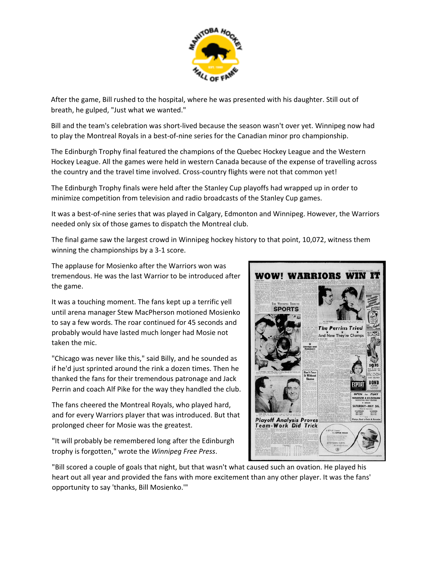

After the game, Bill rushed to the hospital, where he was presented with his daughter. Still out of breath, he gulped, "Just what we wanted."

Bill and the team's celebration was short‐lived because the season wasn't over yet. Winnipeg now had to play the Montreal Royals in a best-of-nine series for the Canadian minor pro championship.

The Edinburgh Trophy final featured the champions of the Quebec Hockey League and the Western Hockey League. All the games were held in western Canada because of the expense of travelling across the country and the travel time involved. Cross-country flights were not that common yet!

The Edinburgh Trophy finals were held after the Stanley Cup playoffs had wrapped up in order to minimize competition from television and radio broadcasts of the Stanley Cup games.

It was a best‐of‐nine series that was played in Calgary, Edmonton and Winnipeg. However, the Warriors needed only six of those games to dispatch the Montreal club.

The final game saw the largest crowd in Winnipeg hockey history to that point, 10,072, witness them winning the championships by a 3‐1 score.

The applause for Mosienko after the Warriors won was tremendous. He was the last Warrior to be introduced after the game.

It was a touching moment. The fans kept up a terrific yell until arena manager Stew MacPherson motioned Mosienko to say a few words. The roar continued for 45 seconds and probably would have lasted much longer had Mosie not taken the mic.

"Chicago was never like this," said Billy, and he sounded as if he'd just sprinted around the rink a dozen times. Then he thanked the fans for their tremendous patronage and Jack Perrin and coach Alf Pike for the way they handled the club.

The fans cheered the Montreal Royals, who played hard, and for every Warriors player that was introduced. But that prolonged cheer for Mosie was the greatest.

"It will probably be remembered long after the Edinburgh trophy is forgotten," wrote the *Winnipeg Free Press*.

"Bill scored a couple of goals that night, but that wasn't what caused such an ovation. He played his heart out all year and provided the fans with more excitement than any other player. It was the fans' opportunity to say 'thanks, Bill Mosienko.'"